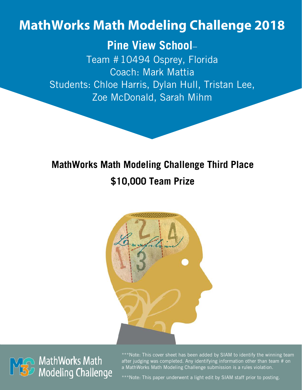# **MathWorks Math Modeling Challenge 2018**

# **Pine View School**–

Team #10494 Osprey, Florida Coach: Mark Mattia Students: Chloe Harris, Dylan Hull, Tristan Lee, Zoe McDonald, Sarah Mihm

# **MathWorks Math Modeling Challenge Third Place \$10,000 Team Prize**





\*\*\*Note: This cover sheet has been added by SIAM to identify the winning team after judging was completed. Any identifying information other than team # on a MathWorks Math Modeling Challenge submission is a rules violation.

\*\*\*Note: This paper underwent a light edit by SIAM staff prior to posting.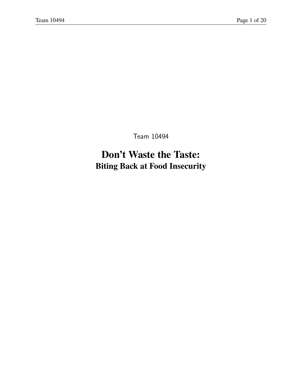Team 10494

# **Don't Waste the Taste: Biting Back at Food Insecurity**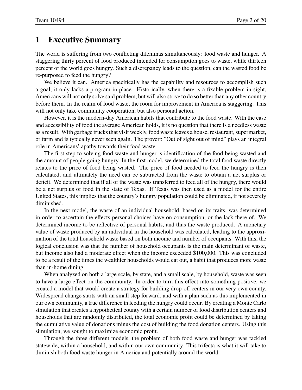#### **1 Executive Summary**

The world is suffering from two conflicting dilemmas simultaneously: food waste and hunger. A staggering thirty percent of food produced intended for consumption goes to waste, while thirteen percent of the world goes hungry. Such a discrepancy leads to the question, can the wasted food be re-purposed to feed the hungry?

We believe it can. America specifically has the capability and resources to accomplish such a goal, it only lacks a program in place. Historically, when there is a fixable problem in sight, Americans will not only solve said problem, but will also strive to do so better than any other country before them. In the realm of food waste, the room for improvement in America is staggering. This will not only take community cooperation, but also personal action.

However, it is the modern-day American habits that contribute to the food waste. With the ease and accessibility of food the average American holds, it is no question that there is a needless waste as a result. With garbage trucks that visit weekly, food waste leaves a house, restaurant, supermarket, or farm and is typically never seen again. The proverb "Out of sight out of mind" plays an integral role in Americans' apathy towards their food waste.

The first step to solving food waste and hunger is identification of the food being wasted and the amount of people going hungry. In the first model, we determined the total food waste directly relates to the price of food being wasted. The price of food needed to feed the hungry is then calculated, and ultimately the need can be subtracted from the waste to obtain a net surplus or deficit. We determined that if all of the waste was transferred to feed all of the hungry, there would be a net surplus of food in the state of Texas. If Texas was then used as a model for the entire United States, this implies that the country's hungry population could be eliminated, if not severely diminished.

In the next model, the waste of an individual household, based on its traits, was determined in order to ascertain the effects personal choices have on consumption, or the lack there of. We determined income to be reflective of personal habits, and thus the waste produced. A monetary value of waste produced by an individual in the household was calculated, leading to the approximation of the total household waste based on both income and number of occupants. With this, the logical conclusion was that the number of household occupants is the main determinant of waste, but income also had a moderate effect when the income exceeded \$100,000. This was concluded to be a result of the times the wealthier households would eat out, a habit that produces more waste than in-home dining.

When analyzed on both a large scale, by state, and a small scale, by household, waste was seen to have a large effect on the community. In order to turn this effect into something positive, we created a model that would create a strategy for building drop-off centers in our very own county. Widespread change starts with an small step forward, and with a plan such as this implemented in our own community, a true difference in feeding the hungry could occur. By creating a Monte Carlo simulation that creates a hypothetical county with a certain number of food distribution centers and households that are randomly distributed, the total economic profit could be determined by taking the cumulative value of donations minus the cost of building the food donation centers. Using this simulation, we sought to maximize economic profit.

Through the three different models, the problem of both food waste and hunger was tackled statewide, within a household, and within our own community. This trifecta is what it will take to diminish both food waste hunger in America and potentially around the world.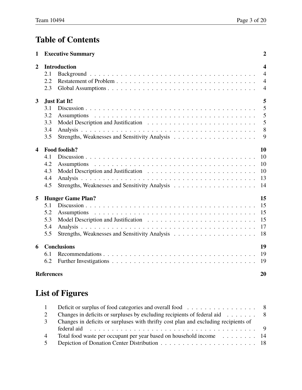# **Table of Contents**

| 1                       |                   | <b>Executive Summary</b> | $\boldsymbol{2}$ |
|-------------------------|-------------------|--------------------------|------------------|
| $\mathbf{2}$            |                   | <b>Introduction</b>      | $\boldsymbol{4}$ |
|                         | 2.1               |                          | $\overline{4}$   |
|                         | 2.2               |                          | $\overline{4}$   |
|                         | 2.3               |                          | $\overline{4}$   |
| $\overline{\mathbf{3}}$ |                   | <b>Just Eat It!</b>      | 5                |
|                         | 3.1               |                          | 5                |
|                         | 3.2               |                          | 5                |
|                         | 3.3               |                          | 5                |
|                         | 3.4               |                          | 8                |
|                         | 3.5               |                          | 9                |
| $\overline{\mathbf{4}}$ |                   | Food foolish?            | 10               |
|                         | 4.1               |                          | 10               |
|                         | 4.2               |                          | 10               |
|                         | 4.3               |                          | 10               |
|                         | 4.4               |                          | 13               |
|                         | 4.5               |                          | 14               |
| 5                       |                   | <b>Hunger Game Plan?</b> | 15               |
|                         | 5.1               |                          | 15               |
|                         | 5.2               |                          | 15               |
|                         | 5.3               |                          | 15               |
|                         | 5.4               |                          | 17               |
|                         | 5.5               |                          | 18               |
| 6                       |                   | <b>Conclusions</b>       | 19               |
|                         | 6.1               |                          | 19               |
|                         | 6.2               |                          | 19               |
|                         | <b>References</b> |                          | 20               |

# **List of Figures**

| $\sim$ 1       | Deficit or surplus of food categories and overall food 8                                  |  |
|----------------|-------------------------------------------------------------------------------------------|--|
| 2              | Changes in deficits or surpluses by excluding recipients of federal aid $\ldots \ldots$ 8 |  |
| 3              | Changes in deficits or surpluses with thrifty cost plan and excluding recipients of       |  |
|                |                                                                                           |  |
| $\overline{4}$ | Total food waste per occupant per year based on household income 14                       |  |
| $\sqrt{5}$     |                                                                                           |  |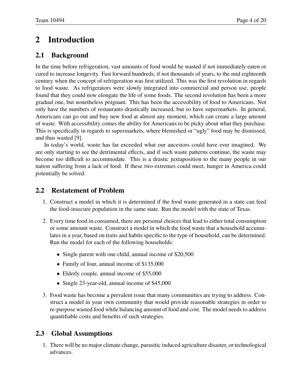# **2 Introduction**

#### **2.1 Background**

In the time before refrigeration, vast amounts of food would be wasted if not immediately eaten or cured to increase longevity. Fast forward hundreds, if not thousands of years, to the mid eighteenth century when the concept of refrigeration was first utilized. This was the first revolution in regards to food waste. As refrigerators were slowly integrated into commercial and person use, people found that they could now elongate the life of some foods. The second revolution has been a more gradual one, but nonetheless poignant. This has been the accessibility of food to Americans. Not only have the numbers of restaurants drastically increased, but so have supermarkets. In general, Americans can go out and buy new food at almost any moment, which can create a large amount of waste. With accessibility comes the ability for Americans to be picky about what they purchase. This is specifically in regards to supermarkets, where blemished or "ugly" food may be dismissed, and thus wasted [9].

In today's world, waste has far exceeded what our ancestors could have ever imagined. We are only starting to see the detrimental effects, and if such waste patterns continue, the waste may become too difficult to accommodate. This is a drastic juxtaposition to the many people in our nation suffering from a lack of food. If these two extremes could meet, hunger in America could potentially be solved.

#### **2.2 Restatement of Problem**

- 1. Construct a model in which it is determined if the food waste generated in a state can feed the food-insecure population in the same state. Run the model with the state of Texas.
- 2. Every time food in consumed, there are personal choices that lead to either total consumption or some amount waste. Construct a model in which the food waste that a household accumulates in a year, based on traits and habits specific to the type of household, can be determined. Run the model for each of the following households:
	- Single parent with one child, annual income of \$20,500
	- Family of four, annual income of \$135,000
	- Elderly couple, annual income of \$55,000
	- Single 23-year-old, annual income of \$45,000
- 3. Food waste has become a prevalent issue that many communities are trying to address. Construct a model in your own community that would provide reasonable strategies in order to re-purpose wasted food while balancing amount of food and cost. The model needs to address quantifiable costs and benefits of such strategies.

#### **2.3 Global Assumptions**

1. There will be no major climate change, parasitic induced agriculture disaster, or technological advances.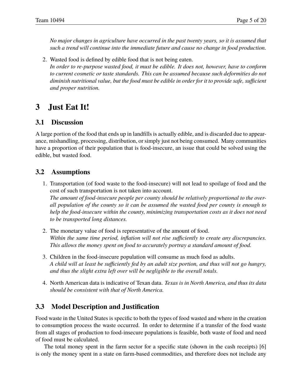*No major changes in agriculture have occurred in the past twenty years, so it is assumed that such a trend will continue into the immediate future and cause no change in food production.*

2. Wasted food is defined by edible food that is not being eaten. *In order to re-purpose wasted food, it must be edible. It does not, however, have to conform to current cosmetic or taste standards. This can be assumed because such deformities do not diminish nutritional value, but the food must be edible in order for it to provide safe, sufficient and proper nutrition.*

## **3 Just Eat It!**

#### **3.1 Discussion**

A large portion of the food that ends up in landfills is actually edible, and is discarded due to appearance, mishandling, processing, distribution, or simply just not being consumed. Many communities have a proportion of their population that is food-insecure, an issue that could be solved using the edible, but wasted food.

#### **3.2 Assumptions**

- 1. Transportation (of food waste to the food-insecure) will not lead to spoilage of food and the cost of such transportation is not taken into account. *The amount of food-insecure people per county should be relatively proportional to the overall population of the county so it can be assumed the wasted food per county is enough to help the food-insecure within the county, minimizing transportation costs as it does not need to be transported long distances.*
- 2. The monetary value of food is representative of the amount of food. *Within the same time period, inflation will not rise sufficiently to create any discrepancies. This allows the money spent on food to accurately portray a standard amount of food.*
- 3. Children in the food-insecure population will consume as much food as adults. *A child will at least be sufficiently fed by an adult size portion, and thus will not go hungry, and thus the slight extra left over will be negligible to the overall totals.*
- 4. North American data is indicative of Texan data. *Texas is in North America, and thus its data should be consistent with that of North America.*

#### **3.3 Model Description and Justification**

Food waste in the United States is specific to both the types of food wasted and where in the creation to consumption process the waste occurred. In order to determine if a transfer of the food waste from all stages of production to food-insecure populations is feasible, both waste of food and need of food must be calculated.

The total money spent in the farm sector for a specific state (shown in the cash receipts) [6] is only the money spent in a state on farm-based commodities, and therefore does not include any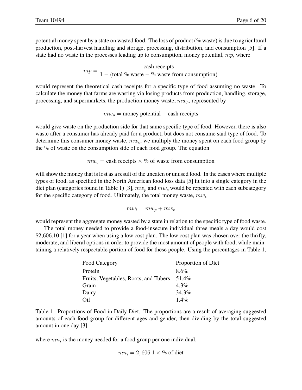potential money spent by a state on wasted food. The loss of product (% waste) is due to agricultural production, post-harvest handling and storage, processing, distribution, and consumption [5]. If a state had no waste in the processes leading up to consumption, money potential,  $mp$ , where

> $mp = \frac{\text{cash receipts}}{1 - \frac{(t+1)(t+1)(t+1)}{t+1}}$ 1 – (total % waste – % waste from consumption)

would represent the theoretical cash receipts for a specific type of food assuming no waste. To calculate the money that farms are wasting via losing products from production, handling, storage, processing, and supermarkets, the production money waste,  $mw_p$ , represented by

 $mw_p$  = money potential – cash receipts

would give waste on the production side for that same specific type of food. However, there is also waste after a consumer has already paid for a product, but does not consume said type of food. To determine this consumer money waste,  $mw_c$ , we multiply the money spent on each food group by the % of waste on the consumption side of each food group. The equation

 $mw_c =$  cash receipts  $\times$  % of waste from consumption

will show the money that is lost as a result of the uneaten or unused food. In the cases where multiple types of food, as specified in the North American food loss data [5] fit into a single category in the diet plan (categories found in Table 1) [3],  $mw_p$  and  $mw_c$  would be repeated with each subcategory for the specific category of food. Ultimately, the total money waste,  $mw_t$ 

$$
mw_t = mw_p + mw_c
$$

would represent the aggregate money wasted by a state in relation to the specific type of food waste.

The total money needed to provide a food-insecure individual three meals a day would cost \$2,606.10 [1] for a year when using a low cost plan. The low cost plan was chosen over the thrifty, moderate, and liberal options in order to provide the most amount of people with food, while maintaining a relatively respectable portion of food for these people. Using the percentages in Table 1,

| Food Category                         | Proportion of Diet |
|---------------------------------------|--------------------|
| Protein                               | $8.6\%$            |
| Fruits, Vegetables, Roots, and Tubers | $51.4\%$           |
| Grain                                 | $4.3\%$            |
| Dairy                                 | $34.3\%$           |
| 7il                                   | $1.4\%$            |

Table 1: Proportions of Food in Daily Diet. The proportions are a result of averaging suggested amounts of each food group for different ages and gender, then dividing by the total suggested amount in one day [3].

where  $mn_i$  is the money needed for a food group per one individual,

$$
mn_i=2,606.1\times\%
$$
 of diet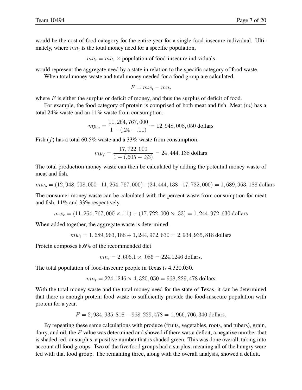would be the cost of food category for the entire year for a single food-insecure individual. Ultimately, where  $mn_t$  is the total money need for a specific population,

 $mn_t = mn_i \times$  population of food-insecure individuals

would represent the aggregate need by a state in relation to the specific category of food waste.

When total money waste and total money needed for a food group are calculated,

$$
F = m w_t - m n_t
$$

where  $F$  is either the surplus or deficit of money, and thus the surplus of deficit of food.

For example, the food category of protein is comprised of both meat and fish. Meat  $(m)$  has a total 24% waste and an 11% waste from consumption.

$$
mp_m = \frac{11,264,767,000}{1 - (.24 - .11)} = 12,948,008,050
$$
 dollars

Fish  $(f)$  has a total 60.5% waste and a 33% waste from consumption.

$$
mp_f = \frac{17,722,000}{1 - (.605 - .33)} = 24,444,138
$$
 dollars

The total production money waste can then be calculated by adding the potential money waste of meat and fish.

 $mw_p = (12, 948, 008, 050-11, 264, 767, 000) + (24, 444, 138-17, 722, 000) = 1,689,963,188$  dollars

The consumer money waste can be calculated with the percent waste from consumption for meat and fish, 11% and 33% respectively.

 $mw_c = (11, 264, 767, 000 \times .11) + (17, 722, 000 \times .33) = 1,244,972,630$  dollars

When added together, the aggregate waste is determined.

$$
mw_t = 1,689,963,188 + 1,244,972,630 = 2,934,935,818
$$
 dollars

Protein composes 8.6% of the recommended diet

 $mn_i = 2,606.1 \times .086 = 224.1246$  dollars.

The total population of food-insecure people in Texas is 4,320,050.

$$
mn_t = 224.1246 \times 4,320,050 = 968,229,478
$$
 dollars

With the total money waste and the total money need for the state of Texas, it can be determined that there is enough protein food waste to sufficiently provide the food-insecure population with protein for a year.

 $F = 2,934,935,818 - 968,229,478 = 1,966,706,340$  dollars.

By repeating these same calculations with produce (fruits, vegetables, roots, and tubers), grain, dairy, and oil, the  $F$  value was determined and showed if there was a deficit, a negative number that is shaded red, or surplus, a positive number that is shaded green. This was done overall, taking into account all food groups. Two of the five food groups had a surplus, meaning all of the hungry were fed with that food group. The remaining three, along with the overall analysis, showed a deficit.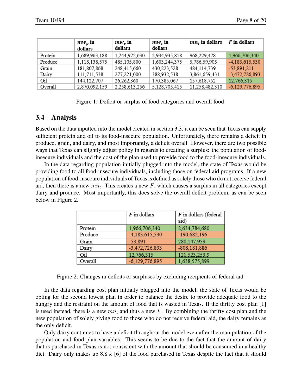|         | $mw_p$ in<br>dollars | $mw_c$ in<br>dollars | $mw_t$ in<br>dollars | $mnr$ in dollars | F in dollars     |
|---------|----------------------|----------------------|----------------------|------------------|------------------|
| Protein | 1,689,963,188        | 1,244,972,630        | 2,934,935,818        | 968,229,478      | 1,966,706,340    |
| Produce | 1,118,138,575        | 485,105,800          | 1,603,244,375        | 5,786,59,905     | $-4,183,615,530$ |
| Grain   | 181,807,868          | 248,415,660          | 430,223,528          | 484,114,739      | $-53,891,211$    |
| Dairy   | 111,711,538          | 277,221,000          | 388,932,538          | 3,861,659,431    | $-3,472,726,893$ |
| Oil     | 144, 122, 707        | 26,262,360           | 170,385,067          | 157,618,752      | 12,766,315       |
| Overall | 2,870,092,159        | 2,258,613,256        | 5,128,705,415        | 11,258,482,310   | $-6,129,776,895$ |

Figure 1: Deficit or surplus of food categories and overall food

#### **3.4 Analysis**

Based on the data inputted into the model created in section 3.3, it can be seen that Texas can supply sufficient protein and oil to its food-insecure population. Unfortunately, there remains a deficit in produce, grain, and dairy, and most importantly, a deficit overall. However, there are two possible ways that Texas can slightly adjust policy in regards to creating a surplus: the population of foodinsecure individuals and the cost of the plan used to provide food to the food-insecure individuals.

In the data regarding population initially plugged into the model, the state of Texas would be providing food to all food-insecure individuals, including those on federal aid programs. If a new population of food-insecure individuals of Texas is defined as solely those who do not receive federal aid, then there is a new  $mn_t$ . This creates a new F, which causes a surplus in all categories except dairy and produce. Most importantly, this does solve the overall deficit problem, as can be seen below in Figure 2.

|         | $F$ in dollars   | $F$ in dollars (federal<br>aid) |
|---------|------------------|---------------------------------|
| Protein | 1,966,706,340    | 2,634,784,680                   |
| Produce | -4,183,615,530   | $-190,682,196$                  |
| Grain   | $-53,891$        | 280,147,959                     |
| Dairy   | $-3,472,726,893$ | $-808, 181, 886$                |
| Oil     | 12,766,315       | 121,523,253.9                   |
| Overall | $-6,129,776,895$ | 1,638,575,899                   |

Figure 2: Changes in deficits or surpluses by excluding recipients of federal aid

In the data regarding cost plan initially plugged into the model, the state of Texas would be opting for the second lowest plan in order to balance the desire to provide adequate food to the hungry and the restraint on the amount of food that is wasted in Texas. If the thrifty cost plan [1] is used instead, there is a new  $mn_t$  and thus a new F. By combining the thrifty cost plan and the new population of solely giving food to those who do not receive federal aid, the dairy remains as the only deficit.

Only dairy continues to have a deficit throughout the model even after the manipulation of the population and food plan variables. This seems to be due to the fact that the amount of dairy that is purchased in Texas is not consistent with the amount that should be consumed in a healthy diet. Dairy only makes up 8.8% [6] of the food purchased in Texas despite the fact that it should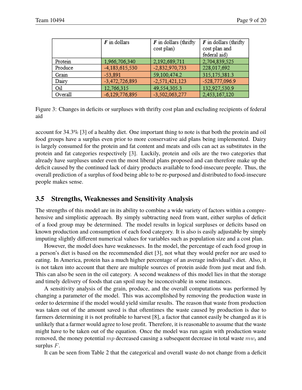|         | $F$ in dollars   | $\boldsymbol{F}$ in dollars (thrifty<br>cost plan) | $\boldsymbol{F}$ in dollars (thrifty<br>cost plan and<br>federal aid) |
|---------|------------------|----------------------------------------------------|-----------------------------------------------------------------------|
| Protein | 1,966,706,340    | 2,192,689,711                                      | 2,704,839,525                                                         |
| Produce | -4,183,615,530   | $-2,832,970,733$                                   | 228,017,692                                                           |
| Grain   | $-53,891$        | 59,100,474.2                                       | 315, 175, 381.3                                                       |
| Dairy   | $-3,472,726,893$ | $-2,571,421,123$                                   | -528,777,096.9                                                        |
| Oil     | 12,766,315       | 49,554,305.3                                       | 132,927,530.9                                                         |
| Overall | $-6,129,776,895$ | $-3,502,063,277$                                   | 2,453,167,120                                                         |

Figure 3: Changes in deficits or surpluses with thrifty cost plan and excluding recipients of federal aid

account for 34.3% [3] of a healthy diet. One important thing to note is that both the protein and oil food groups have a surplus even prior to more conservative aid plans being implemented. Dairy is largely consumed for the protein and fat content and meats and oils can act as substitutes in the protein and fat categories respectively [3]. Luckily, protein and oils are the two categories that already have surpluses under even the most liberal plans proposed and can therefore make up the deficit caused by the continued lack of dairy products available to food-insecure people. Thus, the overall prediction of a surplus of food being able to be re-purposed and distributed to food-insecure people makes sense.

#### **3.5 Strengths, Weaknesses and Sensitivity Analysis**

The strengths of this model are in its ability to combine a wide variety of factors within a comprehensive and simplistic approach. By simply subtracting need from want, either surplus of deficit of a food group may be determined. The model results in logical surpluses or deficits based on known production and consumption of each food category. It is also is easily adjustable by simply imputing slightly different numerical values for variables such as population size and a cost plan.

However, the model does have weaknesses. In the model, the percentage of each food group in a person's diet is based on the recommended diet [3], not what they would prefer nor are used to eating. In America, protein has a much higher percentage of an average individual's diet. Also, it is not taken into account that there are multiple sources of protein aside from just meat and fish. This can also be seen in the oil category. A second weakness of this model lies in that the storage and timely delivery of foods that can spoil may be inconceivable in some instances.

A sensitivity analysis of the grain, produce, and the overall computations was performed by changing a parameter of the model. This was accomplished by removing the production waste in order to determine if the model would yield similar results. The reason that waste from production was taken out of the amount saved is that oftentimes the waste caused by production is due to farmers determining it is not profitable to harvest [8], a factor that cannot easily be changed as it is unlikely that a farmer would agree to lose profit. Therefore, it is reasonable to assume that the waste might have to be taken out of the equation. Once the model was run again with production waste removed, the money potential  $mp$  decreased causing a subsequent decrease in total waste  $mw_t$  and surplus  $F$ .

It can be seen from Table 2 that the categorical and overall waste do not change from a deficit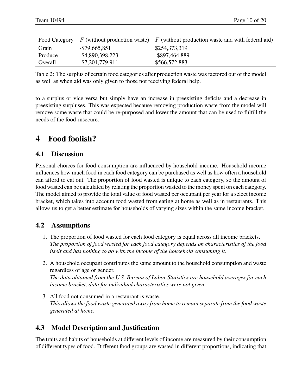| Food Category | $F$ (without production waste) | $F$ (without production waste and with federal aid) |
|---------------|--------------------------------|-----------------------------------------------------|
| Grain         | $-$ \$79,665,851               | \$254,373,319                                       |
| Produce       | $-$ \$4,890,398,223            | -\$897,464,889                                      |
| Overall       | $-$ \$7,201,779,911            | \$566,572,883                                       |

Table 2: The surplus of certain food categories after production waste was factored out of the model as well as when aid was only given to those not receiving federal help.

to a surplus or vice versa but simply have an increase in preexisting deficits and a decrease in preexisting surpluses. This was expected because removing production waste from the model will remove some waste that could be re-purposed and lower the amount that can be used to fulfill the needs of the food-insecure.

### **4 Food foolish?**

#### **4.1 Discussion**

Personal choices for food consumption are influenced by household income. Household income influences how much food in each food category can be purchased as well as how often a household can afford to eat out. The proportion of food wasted is unique to each category, so the amount of food wasted can be calculated by relating the proportion wasted to the money spent on each category. The model aimed to provide the total value of food wasted per occupant per year for a select income bracket, which takes into account food wasted from eating at home as well as in restaurants. This allows us to get a better estimate for households of varying sizes within the same income bracket.

#### **4.2 Assumptions**

- 1. The proportion of food wasted for each food category is equal across all income brackets. *The proportion of food wasted for each food category depends on characteristics of the food itself and has nothing to do with the income of the household consuming it.*
- 2. A household occupant contributes the same amount to the household consumption and waste regardless of age or gender. *The data obtained from the U.S. Bureau of Labor Statistics are household averages for each*
- *income bracket, data for individual characteristics were not given.* 3. All food not consumed in a restaurant is waste.
- *This allows the food waste generated away from home to remain separate from the food waste generated at home.*

#### **4.3 Model Description and Justification**

The traits and habits of households at different levels of income are measured by their consumption of different types of food. Different food groups are wasted in different proportions, indicating that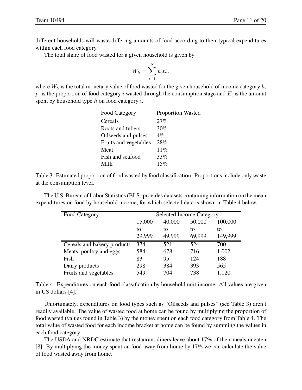different households will waste differing amounts of food according to their typical expenditures within each food category.

The total share of food wasted for a given household is given by

$$
W_h = \sum_{i=1}^{N} p_i E_i,
$$

where  $W_h$  is the total monetary value of food wasted for the given household of income category  $h$ ,  $p_i$  is the proportion of food category i wasted through the consumption stage and  $E_i$  is the amount spent by household type  $h$  on food category  $i$ .

| Food Category         | <b>Proportion Wasted</b> |
|-----------------------|--------------------------|
| Cereals               | 27%                      |
| Roots and tubers      | 30%                      |
| Oilseeds and pulses   | $4\%$                    |
| Fruits and vegetables | 28%                      |
| Meat                  | $11\%$                   |
| Fish and seafood      | 33%                      |
| Milk                  | 15%                      |

Table 3: Estimated proportion of food wasted by food classification. Proportions include only waste at the consumption level.

The U.S. Bureau of Labor Statistics (BLS) provides datasets containing information on the mean expenditures on food by household income, for which selected data is shown in Table 4 below.

| Food Category               | <b>Selected Income Category</b> |        |        |         |
|-----------------------------|---------------------------------|--------|--------|---------|
|                             | 15,000                          | 40,000 | 50,000 | 100,000 |
|                             | to                              | to     | to     | to      |
|                             | 29,999                          | 49,999 | 69,999 | 149,999 |
| Cereals and bakery products | 374                             | 521    | 524    | 700     |
| Meats, poultry and eggs     | 584                             | 678    | 716    | 1,002   |
| Fish                        | 83                              | 95     | 124    | 188     |
| Dairy products              | 298                             | 384    | 393    | 565     |
| Fruits and vegetables       | 549                             | 704    | 738    | 1,120   |

Table 4: Expenditures on each food classification by household unit income. All values are given in US dollars [4].

Unfortunately, expenditures on food types such as "Oilseeds and pulses" (see Table 3) aren't readily available. The value of wasted food at home can be found by multiplying the proportion of food wasted (values found in Table 3) by the money spent on each food category from Table 4. The total value of wasted food for each income bracket at home can be found by summing the values in each food category.

The USDA and NRDC estimate that restaurant diners leave about 17% of their meals uneaten [8]. By multiplying the money spent on food away from home by 17% we can calculate the value of food wasted away from home.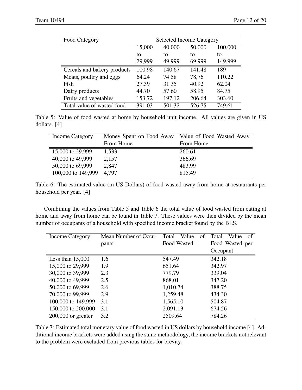| Food Category               | <b>Selected Income Category</b> |        |        |         |
|-----------------------------|---------------------------------|--------|--------|---------|
|                             | 15,000                          | 40,000 | 50,000 | 100,000 |
|                             | to                              | tο     | to     | to      |
|                             | 29,999                          | 49,999 | 69,999 | 149,999 |
| Cereals and bakery products | 100.98                          | 140.67 | 141.48 | 189     |
| Meats, poultry and eggs     | 64.24                           | 74.58  | 78,76  | 110.22  |
| Fish                        | 27.39                           | 31.35  | 40.92  | 62.04   |
| Dairy products              | 44.70                           | 57.60  | 58.95  | 84.75   |
| Fruits and vegetables       | 153.72                          | 197.12 | 206.64 | 303.60  |
| Total value of wasted food  | 391.03                          | 501.32 | 526.75 | 749.61  |

Table 5: Value of food wasted at home by household unit income. All values are given in US dollars. [4]

| Income Category    | Money Spent on Food Away | Value of Food Wasted Away |
|--------------------|--------------------------|---------------------------|
|                    | From Home                | From Home                 |
| 15,000 to 29,999   | 1,533                    | 260.61                    |
| 40,000 to 49,999   | 2,157                    | 366.69                    |
| 50,000 to 69,999   | 2,847                    | 483.99                    |
| 100,000 to 149,999 | 4.797                    | 815.49                    |

Table 6: The estimated value (in US Dollars) of food wasted away from home at restaurants per household per year. [4]

Combining the values from Table 5 and Table 6 the total value of food wasted from eating at home and away from home can be found in Table 7. These values were then divided by the mean number of occupants of a household with specified income bracket found by the BLS.

| Income Category      | Mean Number of Occu- | Value<br>Total<br>of | Value<br>Total<br>-of |
|----------------------|----------------------|----------------------|-----------------------|
|                      | pants                | Food Wasted          | Food Wasted per       |
|                      |                      |                      | Occupant              |
| Less than $15,000$   | 1.6                  | 547.49               | 342.18                |
| 15,000 to 29,999     | 1.9                  | 651.64               | 342.97                |
| 30,000 to 39,999     | 2.3                  | 779.79               | 339.04                |
| 40,000 to 49,999     | 2.5                  | 868.01               | 347.20                |
| 50,000 to 69,999     | 2.6                  | 1,010.74             | 388.75                |
| 70,000 to 99,999     | 2.9                  | 1,259.48             | 434.30                |
| 100,000 to 149,999   | 3.1                  | 1,565.10             | 504.87                |
| 150,000 to 200,000   | 3.1                  | 2,091.13             | 674.56                |
| $200,000$ or greater | 3.2                  | 2509.64              | 784.26                |

Table 7: Estimated total monetary value of food wasted in US dollars by household income [4]. Additional income brackets were added using the same methodology, the income brackets not relevant to the problem were excluded from previous tables for brevity.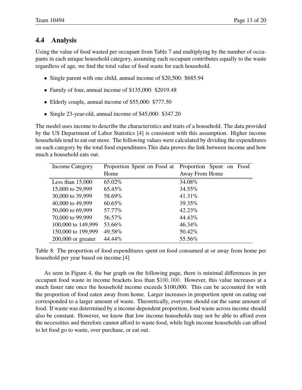#### **4.4 Analysis**

Using the value of food wasted per occupant from Table 7 and multiplying by the number of occupants in each unique household category, assuming each occupant contributes equally to the waste regardless of age, we find the total value of food waste for each household.

- Single parent with one child, annual income of \$20,500: \$685.94
- Family of four, annual income of \$135,000: \$2019.48
- Elderly couple, annual income of \$55,000: \$777.50
- Single 23-year-old, annual income of \$45,000: \$347.20

The model uses income to describe the characteristics and traits of a household. The data provided by the US Department of Labor Statistics [4] is consistent with this assumption. Higher income households tend to eat out more. The following values were calculated by dividing the expenditures on each category by the total food expenditures.This data proves the link between income and how much a household eats out.

| Income Category      | Proportion Spent on Food at | Proportion Spent on Food |
|----------------------|-----------------------------|--------------------------|
|                      | Home                        | Away From Home           |
| Less than $15,000$   | 65.02%                      | 34.08%                   |
| 15,000 to 29,999     | 65.45%                      | 34.55%                   |
| 30,000 to 39,999     | 58.69%                      | $41.31\%$                |
| 40,000 to 49,999     | $60.65\%$                   | 39.35%                   |
| 50,000 to 69,999     | 57.77%                      | $42.23\%$                |
| 70,000 to 99,999     | 56.57%                      | 44.43%                   |
| 100,000 to 149,999   | 53.66%                      | 46.34%                   |
| 150,000 to 199,999   | 49.58%                      | 50.42%                   |
| $200,000$ or greater | 44.44%                      | 55.56%                   |

Table 8: The proportion of food expenditures spent on food consumed at or away from home per household per year based on income.[4]

As seen in Figure 4, the bar graph on the following page, there is minimal differences in per occupant food waste in income brackets less than \$100, 000. However, this value increases at a much faster rate once the household income exceeds \$100,000. This can be accounted for with the proportion of food eaten away from home. Larger increases in proportion spent on eating out corresponded to a larger amount of waste. Theoretically, everyone should eat the same amount of food. If waste was determined by a income dependent proportion, food waste across income should also be constant. However, we know that low income households may not be able to afford even the necessities and therefore cannot afford to waste food, while high income households can afford to let food go to waste, over purchase, or eat out.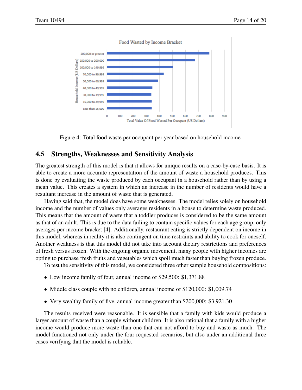

Figure 4: Total food waste per occupant per year based on household income

#### **4.5 Strengths, Weaknesses and Sensitivity Analysis**

The greatest strength of this model is that it allows for unique results on a case-by-case basis. It is able to create a more accurate representation of the amount of waste a household produces. This is done by evaluating the waste produced by each occupant in a household rather than by using a mean value. This creates a system in which an increase in the number of residents would have a resultant increase in the amount of waste that is generated.

Having said that, the model does have some weaknesses. The model relies solely on household income and the number of values only averages residents in a house to determine waste produced. This means that the amount of waste that a toddler produces is considered to be the same amount as that of an adult. This is due to the data failing to contain specific values for each age group, only averages per income bracket [4]. Additionally, restaurant eating is strictly dependent on income in this model, whereas in reality it is also contingent on time restraints and ability to cook for oneself. Another weakness is that this model did not take into account dietary restrictions and preferences of fresh versus frozen. With the ongoing organic movement, many people with higher incomes are opting to purchase fresh fruits and vegetables which spoil much faster than buying frozen produce.

To test the sensitivity of this model, we considered three other sample household compositions:

- Low income family of four, annual income of \$29,500: \$1,371.88
- Middle class couple with no children, annual income of \$120,000: \$1,009.74
- Very wealthy family of five, annual income greater than \$200,000: \$3,921.30

The results received were reasonable. It is sensible that a family with kids would produce a larger amount of waste than a couple without children. It is also rational that a family with a higher income would produce more waste than one that can not afford to buy and waste as much. The model functioned not only under the four requested scenarios, but also under an additional three cases verifying that the model is reliable.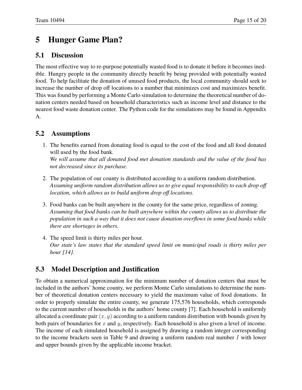# **5 Hunger Game Plan?**

#### **5.1 Discussion**

The most effective way to re-purpose potentially wasted food is to donate it before it becomes inedible. Hungry people in the community directly benefit by being provided with potentially wasted food. To help facilitate the donation of unused food products, the local community should seek to increase the number of drop off locations to a number that minimizes cost and maximizes benefit. This was found by performing a Monte Carlo simulation to determine the theoretical number of donation centers needed based on household characteristics such as income level and distance to the nearest food waste donation center. The Python code for the simulations may be found in Appendix A.

#### **5.2 Assumptions**

- 1. The benefits earned from donating food is equal to the cost of the food and all food donated will used by the food bank. *We will assume that all donated food met donation standards and the value of the food has not decreased since its purchase.*
- 2. The population of our county is distributed according to a uniform random distribution. *Assuming uniform random distribution allows us to give equal responsibility to each drop off location, which allows us to build uniform drop off locations.*
- 3. Food banks can be built anywhere in the county for the same price, regardless of zoning. *Assuming that food banks can be built anywhere within the county allows us to distribute the population in such a way that it does not cause donation overflows in some food banks while there are shortages in others.*
- 4. The speed limit is thirty miles per hour. *Our state's law states that the standard speed limit on municipal roads is thirty miles per hour [14].*

#### **5.3 Model Description and Justification**

To obtain a numerical approximation for the minimum number of donation centers that must be included in the authors' home county, we perform Monte Carlo simulations to determine the number of theoretical donation centers necessary to yield the maximum value of food donations. In order to properly simulate the entire county, we generate 175,576 households, which corresponds to the current number of households in the authors' home county [7]. Each household is uniformly allocated a coordinate pair  $(x, y)$  according to a uniform random distribution with bounds given by both pairs of boundaries for x and y, respectively. Each household is also given a level of income. The income of each simulated household is assigned by drawing a random integer corresponding to the income brackets seen in Table 9 and drawing a uniform random real number I with lower and upper bounds given by the applicable income bracket.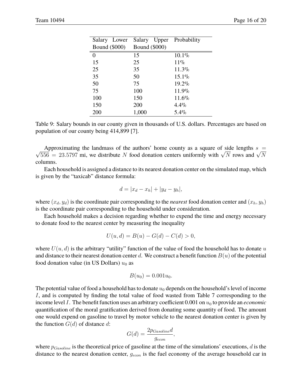| Salary Lower         | Salary Upper         | Probability |
|----------------------|----------------------|-------------|
| <b>Bound</b> (\$000) | <b>Bound</b> (\$000) |             |
| 0                    | 15                   | 10.1%       |
| 15                   | 25                   | $11\%$      |
| 25                   | 35                   | $11.3\%$    |
| 35                   | 50                   | $15.1\%$    |
| 50                   | 75                   | $19.2\%$    |
| 75                   | 100                  | 11.9%       |
| 100                  | 150                  | 11.6%       |
| 150                  | 200                  | $4.4\%$     |
| 200                  | 1,000                | $5.4\%$     |

Table 9: Salary bounds in our county given in thousands of U.S. dollars. Percentages are based on population of our county being 414,899 [7].

Approximating the fand as of the authors home county as a square of side lengths  $s = \sqrt{556} = 23.5797$  mi, we distribute N food donation centers uniformly with  $\sqrt{N}$  rows and  $\sqrt{N}$ Approximating the landmass of the authors' home county as a square of side lengths  $s =$ columns.

Each household is assigned a distance to its nearest donation center on the simulated map, which is given by the "taxicab" distance formula:

$$
d = |x_d - x_h| + |y_d - y_h|,
$$

where  $(x_d, y_d)$  is the coordinate pair corresponding to the *nearest* food donation center and  $(x_h, y_h)$ is the coordinate pair corresponding to the household under consideration.

Each household makes a decision regarding whether to expend the time and energy necessary to donate food to the nearest center by measuring the inequality

$$
U(u, d) = B(u) - G(d) - C(d) > 0,
$$

where  $U(u, d)$  is the arbitrary "utility" function of the value of food the household has to donate u and distance to their nearest donation center d. We construct a benefit function  $B(u)$  of the potential food donation value (in US Dollars)  $u_0$  as

$$
B(u_0) = 0.001u_0.
$$

The potential value of food a household has to donate  $u_0$  depends on the household's level of income I, and is computed by finding the total value of food wasted from Table 7 corresponding to the income level  $I$ . The benefit function uses an arbitrary coefficient  $0.001$  on  $u_0$  to provide an *economic* quantification of the moral gratification derived from donating some quantity of food. The amount one would expend on gasoline to travel by motor vehicle to the nearest donation center is given by the function  $G(d)$  of distance d:

$$
G(d) = \frac{2p_{Gasoline}d}{g_{econ}},
$$

where  $p_{Gasoline}$  is the theoretical price of gasoline at the time of the simulations' executions, d is the distance to the nearest donation center,  $g_{econ}$  is the fuel economy of the average household car in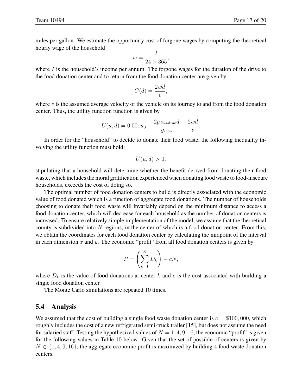miles per gallon. We estimate the opportunity cost of forgone wages by computing the theoretical hourly wage of the household

$$
w = \frac{I}{24 \times 365},
$$

where  $I$  is the household's income per annum. The forgone wages for the duration of the drive to the food donation center and to return from the food donation center are given by

$$
C(d) = \frac{2wd}{v},
$$

where  $v$  is the assumed average velocity of the vehicle on its journey to and from the food donation center. Thus, the utility function function is given by

$$
U(u, d) = 0.001u_0 - \frac{2p_{Gasoline}d}{g_{econ}} - \frac{2wd}{v}.
$$

In order for the "household" to decide to donate their food waste, the following inequality involving the utility function must hold:

$$
U(u, d) > 0,
$$

stipulating that a household will determine whether the benefit derived from donating their food waste, which includes the moral gratification experienced when donating food waste to food-insecure households, exceeds the cost of doing so.

The optimal number of food donation centers to build is directly associated with the economic value of food donated which is a function of aggregate food donations. The number of households choosing to donate their food waste will invariably depend on the minimum distance to access a food donation center, which will decrease for each household as the number of donation centers is increased. To ensure relatively simple implementation of the model, we assume that the theoretical county is subdivided into  $N$  regions, in the center of which is a food donation center. From this, we obtain the coordinates for each food donation center by calculating the midpoint of the interval in each dimension  $x$  and  $y$ . The economic "profit" from all food donation centers is given by

$$
P = \left(\sum_{k=1}^{N} D_k\right) - cN,
$$

where  $D_k$  is the value of food donations at center k and c is the cost associated with building a single food donation center.

The Monte Carlo simulations are repeated 10 times.

#### **5.4 Analysis**

We assumed that the cost of building a single food waste donation center is  $c = $100,000$ , which roughly includes the cost of a new refrigerated semi-truck trailer [15], but does not assume the need for salaried staff. Testing the hypothesized values of  $N = 1, 4, 9, 16$ , the economic "profit" is given for the following values in Table 10 below. Given that the set of possible of centers is given by  $N \in \{1, 4, 9, 16\}$ , the aggregate economic profit is maximized by building 4 food waste donation centers.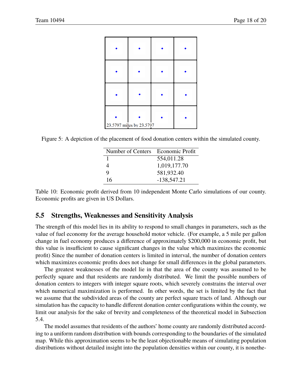| 23.5797 miles by 23.5797 |  |
|--------------------------|--|

Figure 5: A depiction of the placement of food donation centers within the simulated county.

| Number of Centers Economic Profit |               |
|-----------------------------------|---------------|
|                                   | 554,011.28    |
| 4                                 | 1,019,177.70  |
| 9                                 | 581,932.40    |
| 16                                | $-138,547.21$ |

Table 10: Economic profit derived from 10 independent Monte Carlo simulations of our county. Economic profits are given in US Dollars.

#### **5.5 Strengths, Weaknesses and Sensitivity Analysis**

The strength of this model lies in its ability to respond to small changes in parameters, such as the value of fuel economy for the average household motor vehicle. (For example, a 5 mile per gallon change in fuel economy produces a difference of approximately \$200,000 in economic profit, but this value is insufficient to cause significant changes in the value which maximizes the economic profit) Since the number of donation centers is limited in interval, the number of donation centers which maximizes economic profits does not change for small differences in the global parameters.

The greatest weaknesses of the model lie in that the area of the county was assumed to be perfectly square and that residents are randomly distributed. We limit the possible numbers of donation centers to integers with integer square roots, which severely constrains the interval over which numerical maximization is performed. In other words, the set is limited by the fact that we assume that the subdivided areas of the county are perfect square tracts of land. Although our simulation has the capacity to handle different donation center configurations within the county, we limit our analysis for the sake of brevity and completeness of the theoretical model in Subsection 5.4.

The model assumes that residents of the authors' home county are randomly distributed according to a uniform random distribution with bounds corresponding to the boundaries of the simulated map. While this approximation seems to be the least objectionable means of simulating population distributions without detailed insight into the population densities within our county, it is nonethe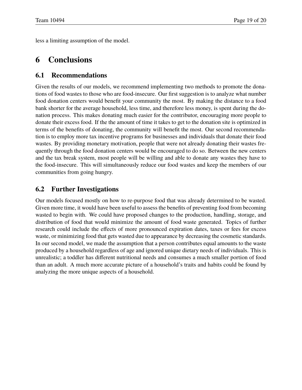less a limiting assumption of the model.

### **6 Conclusions**

#### **6.1 Recommendations**

Given the results of our models, we recommend implementing two methods to promote the donations of food wastes to those who are food-insecure. Our first suggestion is to analyze what number food donation centers would benefit your community the most. By making the distance to a food bank shorter for the average household, less time, and therefore less money, is spent during the donation process. This makes donating much easier for the contributor, encouraging more people to donate their excess food. If the the amount of time it takes to get to the donation site is optimized in terms of the benefits of donating, the community will benefit the most. Our second recommendation is to employ more tax incentive programs for businesses and individuals that donate their food wastes. By providing monetary motivation, people that were not already donating their wastes frequently through the food donation centers would be encouraged to do so. Between the new centers and the tax break system, most people will be willing and able to donate any wastes they have to the food-insecure. This will simultaneously reduce our food wastes and keep the members of our communities from going hungry.

#### **6.2 Further Investigations**

Our models focused mostly on how to re-purpose food that was already determined to be wasted. Given more time, it would have been useful to assess the benefits of preventing food from becoming wasted to begin with. We could have proposed changes to the production, handling, storage, and distribution of food that would minimize the amount of food waste generated. Topics of further research could include the effects of more pronounced expiration dates, taxes or fees for excess waste, or minimizing food that gets wasted due to appearance by decreasing the cosmetic standards. In our second model, we made the assumption that a person contributes equal amounts to the waste produced by a household regardless of age and ignored unique dietary needs of individuals. This is unrealistic; a toddler has different nutritional needs and consumes a much smaller portion of food than an adult. A much more accurate picture of a household's traits and habits could be found by analyzing the more unique aspects of a household.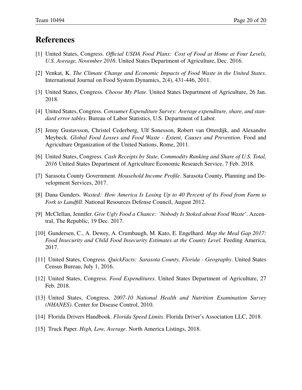### **References**

- [1] United States, Congress. *Official USDA Food Plans: Cost of Food at Home at Four Levels, U.S. Average, November 2016*. United States Department of Agriculture, Dec. 2016.
- [2] Venkat, K. *The Climate Change and Economic Impacts of Food Waste in the United States*. International Journal on Food System Dynamics, 2(4), 431-446, 2011.
- [3] United States, Congress. *Choose My Plate*. United States Department of Agriculture, 26 Jan. 2018.
- [4] United States, Congress. *Consumer Expenditure Survey: Average expenditure, share, and standard error tables*. Bureau of Labor Statistics, U.S. Department of Labor.
- [5] Jenny Gustavsson, Christel Cederberg, Ulf Sonesson, Robert van Otterdijk, and Alexandre Meybeck. *Global Food Losses and Food Waste - Extent, Causes and Prevention*. Food and Agriculture Organization of the United Nations, Rome, 2011.
- [6] United States, Congress. *Cash Receipts by State, Commodity Ranking and Share of U.S. Total, 2016* United States Department of Agriculture Economic Research Service, 7 Feb. 2018.
- [7] Sarasota County Government. *Household Income Profile*. Sarasota County, Planning and Development Services, 2017.
- [8] Dana Gunders. *Wasted: How America Is Losing Up to 40 Percent of Its Food from Farm to Fork to Landfill*. National Resources Defense Council, August 2012.
- [9] McClellan, Jennifer. *Give Ugly Food a Chance: 'Nobody Is Stoked about Food Waste'*. Azcentral, The Republic, 19 Dec. 2017.
- [10] Gundersen, C., A. Dewey, A. Crumbaugh, M. Kato, E. Engelhard. *Map the Meal Gap 2017: Food Insecurity and Child Food Insecurity Estimates at the County Level.* Feeding America, 2017.
- [11] United States, Congress. *QuickFacts: Sarasota County, Florida Geography*. United States Census Bureau, July 1, 2016.
- [12] United States, Congress. *Food Expenditures*. United States Department of Agriculture, 27 Feb. 2018.
- [13] United States, Congress. *2007-10 National Health and Nutrition Examination Survey (NHANES)*. Center for Disease Control, 2010.
- [14] Florida Drivers Handbook. *Florida Speed Limits*. Florida Driver's Association LLC, 2018.
- [15] Truck Paper. *High, Low, Average*. North America Listings, 2018.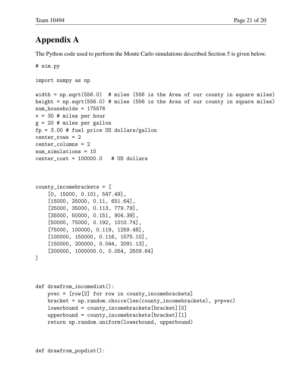### **Appendix A**

The Python code used to perform the Monte Carlo simulations described Section 5 is given below.

```
# sim.py
import numpy as np
width = np.sqrt(556.0) # miles (556 is the Area of our county in square miles)
height = np.sqrt(556.0) # miles (556 is the Area of our county in square miles)
num_households = 175576
v = 30 # miles per hour
g = 20 # miles per gallon
fp = 3.00 # fuel price US dollars/gallon
center_rows = 2
center_columns = 2
num_simulations = 10
center_cost = 100000.0 # US dollars
county_incomebrackets = [
    [0, 15000, 0.101, 547.49],
    [15000, 25000, 0.11, 651.64],
    [25000, 35000, 0.113, 779.79],
    [35000, 50000, 0.151, 904.39],
    [50000, 75000, 0.192, 1010.74],
    [75000, 100000, 0.119, 1259.48],
    [100000, 150000, 0.116, 1575.10],
    [150000, 200000, 0.044, 2091.13],
    [200000, 1000000.0, 0.054, 2509.64]
\mathbf{I}def drawfrom_incomedist():
    pvec = [row[2] for row in county_incomebrackets]
    bracket = np.random.choice(len(county_incomebrackets), p=pvec)
    lowerbound = county_incomebrackets[bracket][0]
    upperbound = county_incomebrackets[bracket][1]
```

```
return np.random.uniform(lowerbound, upperbound)
```

```
def drawfrom_popdist():
```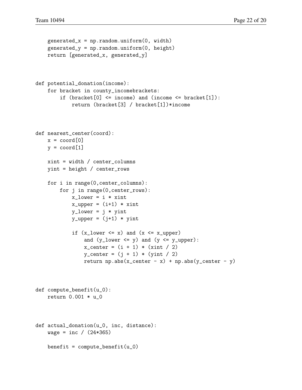```
generated_x = np.random.uniform(0, width)generated_y = np.random.uniform(0, height)return [generated_x, generated_y]
def potential_donation(income):
    for bracket in county_incomebrackets:
        if (bracket[0] <= income) and (income <= bracket[1]):
            return (bracket[3] / bracket[1])*income
def nearest_center(coord):
    x = coord[0]y = coord[1]xint = width / center_columns
    yint = height / center_rows
    for i in range(0,center_columns):
        for j in range(0,center_rows):
            x_lower = i * xintx_upper = (i+1) * xint
            y_lower = j * yint
            y_upper = (j+1) * yint
            if (x_lower \le x) and (x \le x_lupper)and (y_l) and (y_l) and (y_l) (0, y_l) and (y_l) (0, y_l) (0, y_l)x-center = (i + 1) * (xint / 2)y_c center = (j + 1) * (yint / 2)return np.abs(x_center - x) + np.abs(y_center - y)
def compute_benefit(u_0):
    return 0.001 * u_0
def actual_donation(u_0, inc, distance):
    wage = inc / (24*365)benefit = compute_benefit(u_0)
```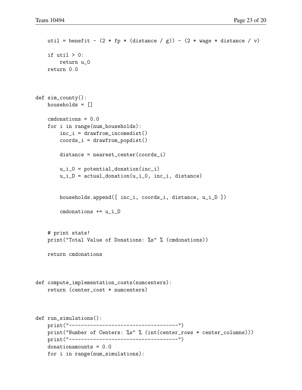```
util = benefit - (2 * fp * (distance / g)) - (2 * wage * distance / v)if util > 0:
        return u_0
   return 0.0
def sim_county():
   households = []
    cmdonations = 0.0
    for i in range(num_households):
        inc_i = drawfrom_incomedist()coords_i = drawfrom_popdist()
        distance = nearest_center(coords_i)
        u_i_0 = potential_donation(inc_i)
        u_i = actual_donation(u_i, n_i, u_i, distance)
        households.append([ inc_i, coords_i, distance, u_i_D ])
        cmdonations += u_i_D
    # print stats!
    print("Total Value of Donations: %s" % (cmdonations))
    return cmdonations
def compute_implementation_costs(numcenters):
    return (center_cost * numcenters)
def run_simulations():
    print("------------------------------------")
    print("Number of Centers: %s" % (int(center_rows * center_columns)))
   print("------------------------------------")
    donationamounts = 0.0
    for i in range(num_simulations):
```